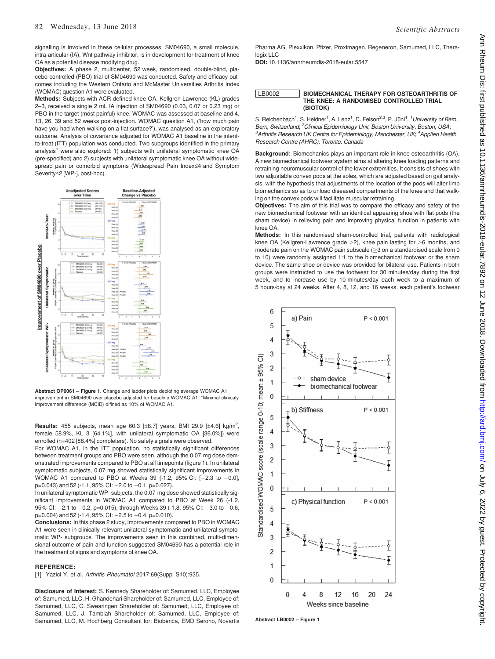signalling is involved in these cellular processes. SM04690, a small molecule, intra-articular (IA), Wnt pathway inhibitor, is in development for treatment of knee OA as a potential disease modifying drug.

Objectives: A phase 2, multicenter, 52 week, randomised, double-blind, placebo-controlled (PBO) trial of SM04690 was conducted. Safety and efficacy outcomes including the Western Ontario and McMaster Universities Arthritis Index (WOMAC) question A1 were evaluated.

Methods: Subjects with ACR-defined knee OA, Kellgren-Lawrence (KL) grades 2–3, received a single 2 mL IA injection of SM04690 (0.03, 0.07 or 0.23 mg) or PBO in the target (most painful) knee. WOMAC was assessed at baseline and 4, 13, 26, 39 and 52 weeks post-injection. WOMAC question A1, ('how much pain have you had when walking on a flat surface?'), was analysed as an exploratory outcome. Analysis of covariance adjusted for WOMAC A1 baseline in the intentto-treat (ITT) population was conducted. Two subgroups identified in the primary analysis<sup>1</sup> were also explored: 1) subjects with unilateral symptomatic knee OA (pre-specified) and 2) subjects with unilateral symptomatic knee OA without widespread pain or comorbid symptoms (Widespread Pain Index≤4 and Symptom Severity≤2 [WP-], post-hoc).



Abstract OP0061 – Figure 1. Change and ladder plots deploting average WOMAC A1 improvement in SM04690 over placebo adjusted for baseline WOMAC A1. \*Minimal clinicaly improvement difference (MCID) difined as 10% of WOMAC A1.

**Results:** 455 subjects, mean age 60.3 [ $\pm$ 8.7] years, BMI 29.9 [ $\pm$ 4.6] kg/m<sup>2</sup>, female 58.9%, KL 3 [64.1%], with unilateral symptomatic OA [36.0%]) were enrolled (n=402 [88.4%] completers). No safety signals were observed.

For WOMAC A1, in the ITT population, no statistically significant differences between treatment groups and PBO were seen, although the 0.07 mg dose demonstrated improvements compared to PBO at all timepoints (figure 1). In unilateral symptomatic subjects, 0.07 mg showed statistically significant improvements in WOMAC A1 compared to PBO at Weeks 39  $(-1.2, 95\% \text{ Cl: } [-2.3 \text{ to } -0.0],$  $p=0.043$ ) and 52 (-1.1, 95% CI: -2.0 to -0.1, p=0.027).

In unilateral symptomatic WP- subjects, the 0.07 mg dose showed statistically significant improvements in WOMAC A1 compared to PBO at Week 26 (-1.2, 95% CI:  $-2.1$  to  $-0.2$ , p=0.015), through Weeks 39 (-1.8, 95% CI:  $-3.0$  to  $-0.6$ ,  $p=0.004$ ) and 52 (-1.4, 95% CI:  $-2.5$  to  $-0.4$ ,  $p=0.010$ ).

Conclusions: In this phase 2 study, improvements compared to PBO in WOMAC A1 were seen in clinically relevant unilateral symptomatic and unilateral symptomatic WP- subgroups. The improvements seen in this combined, multi-dimensional outcome of pain and function suggested SM04690 has a potential role in the treatment of signs and symptoms of knee OA.

## REFERENCE:

[1] Yazici Y, et al. Arthritis Rheumatol 2017;69(Suppl S10):935.

Disclosure of Interest: S. Kennedy Shareholder of: Samumed, LLC, Employee of: Samumed, LLC, H. Ghandehari Shareholder of: Samumed, LLC, Employee of: Samumed, LLC, C. Swearingen Shareholder of: Samumed, LLC, Employee of: Samumed, LLC, J. Tambiah Shareholder of: Samumed, LLC, Employee of: Samumed, LLC, M. Hochberg Consultant for: Bioberica, EMD Serono, Novartis Pharma AG, Plexxikon, Pfizer, Proximagen, Regeneron, Samumed, LLC, Theralogix LLC

DOI: 10.1136/annrheumdis-2018-eular.5547

| LB0002 | <b>BIOMECHANICAL THERAPY FOR OSTEOARTHRITIS OF</b> |
|--------|----------------------------------------------------|
|        | THE KNEE: A RANDOMISED CONTROLLED TRIAL            |
|        | (BIOTOK)                                           |

S. Reichenbach<sup>1</sup>, S. Heldner<sup>1</sup>, A. Lenz<sup>1</sup>, D. Felson<sup>2,3</sup>, P. Jüni<sup>4</sup>. <sup>1</sup> University of Bern, Bern, Switzerland; <sup>2</sup>Clinical Epidemiology Unit, Boston University, Boston, USA; <sup>3</sup> Arthritis Research UK Centre for Epidemiology, Manchester, UK; <sup>4</sup> Applied Health Research Centre (AHRC), Toronto, Canada

Background: Biomechanics plays an important role in knee osteoarthritis (OA). A new biomechanical footwear system aims at altering knee loading patterns and retraining neuromuscular control of the lower extremities. It consists of shoes with two adjustable convex pods at the soles, which are adjusted based on gait analysis, with the hypothesis that adjustments of the location of the pods will alter limb biomechanics so as to unload diseased compartments of the knee and that walking on the convex pods will facilitate muscular retraining.

Objectives: The aim of this trial was to compare the efficacy and safety of the new biomechanical footwear with an identical appearing shoe with flat pods (the sham device) in relieving pain and improving physical function in patients with knee OA.

Methods: In this randomised sham-controlled trial, patients with radiological knee OA (Kellgren-Lawrence grade  $>2$ ), knee pain lasting for  $>6$  months, and moderate pain on the WOMAC pain subscale  $(≥3$  on a standardised scale from 0 to 10) were randomly assigned 1:1 to the biomechanical footwear or the sham device. The same shoe or device was provided for bilateral use. Patients in both groups were instructed to use the footwear for 30 minutes/day during the first week, and to increase use by 10 minutes/day each week to a maximum of 5 hours/day at 24 weeks. After 4, 8, 12, and 16 weeks, each patient's footwear

6 a) Pain  $P < 0.001$ 5  $\overline{A}$ 3  $\widehat{\sigma}$  $± 95%$  $\overline{2}$ sham device  $\overline{1}$ mean biomechanical footwear  $\overline{0}$  $0 - 10$ b) Stiffness  $D < 0.001$ 5 (scale range  $\overline{4}$ 3 score  $\overline{2}$  $\mathbf{1}$ Standardised WOMAC  $\Omega$ c) Physical function  $P < 0.001$ 5  $\overline{4}$  $\overline{3}$  $\overline{2}$  $\mathbf{1}$  $\overline{0}$  $\Omega$  $\overline{4}$ 8 16 20 24  $12$ Weeks since baseline